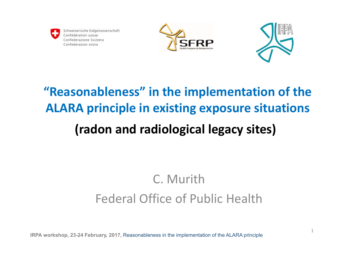



# **"Reasonableness" in the implementation of the ALARA principle in existing exposure situations (radon and radiological legacy sites)**

# C. MurithFederal Office of Public Health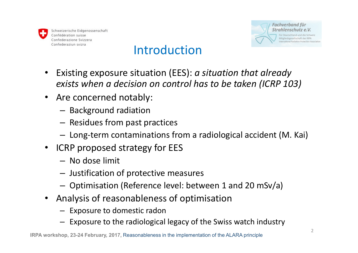



#### Introduction

- • Existing exposure situation (EES): *a situation that already exists when a decision on control has to be taken (ICRP 103)*
- $\bullet$  Are concerned notably:
	- $-$  Background radiation
	- $-$  Residues from past practices
	- $-$  Long-term contaminations from a radiological accident (M. Kai)
- ICRP proposed strategy for EES
	- No dose limit
	- $-$  Justification of protective measures
	- Optimisation (Reference level: between 1 and 20 mSv/a)
- $\bullet$  Analysis of reasonableness of optimisation
	- Exposure to domestic radon
	- Exposure to the radiological legacy of the Swiss watch industry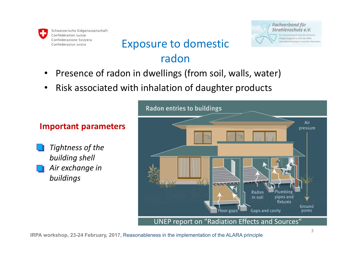

#### Exposure to domestic radon



#### Presence of radon in dwellings (from soil, walls, water) •

•Risk associated with inhalation of daughter products

#### **Important parameters**

*Tightness of the building shellAir exchange in buildings*

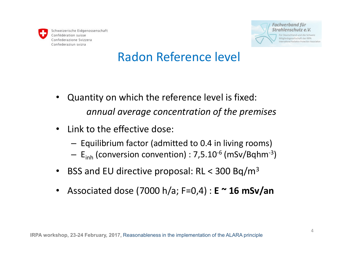



#### Radon Reference level

- $\bullet$  Quantity on which the reference level is fixed: *annual average concentration of the premises*
- $\bullet$  Link to the effective dose:
	- –- Equilibrium factor (admitted to 0.4 in living rooms)
	- $-$  E<sub>inh</sub> (conversion convention) : 7,5.10<sup>-6</sup> (mSv/Bqhm<sup>-3</sup>)
- $\bullet$ • BSS and EU directive proposal:  $RL < 300$  Bq/m<sup>3</sup>
- •Associated dose (7000 h/a; F=0,4) : **E ~ 16 mSv/an**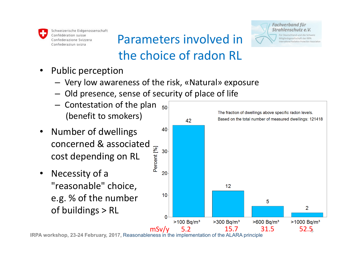

## Parameters involved in the choice of radon RL

- • Public perception
	- Very low awareness of the risk, «Natural» exposure
	- Old presence, sense of security of place of life
	- Contestation of the plan  $_{50}$ (benefit to smokers)
- Number of dwellings •concerned & associatedPercent [%] cost depending on RL
- • Necessity of a "reasonable" choice, e.g. % of the numberof buildings > RL



**Fachverband für** Strahlenschutz e.V.

> ir Deutschland und die Schweiz Mitgliedsgesellschaft der IRPA

**Instituted Radiation Protection Association** 

**IRPA workshop, 23-24 February, 2017, Reasonableness in the implementation of the ALARA principle** 52.5 52.5 **52.5**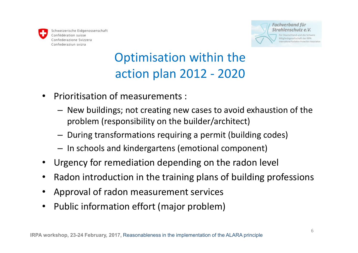



# Optimisation within the action plan 2012 - <sup>2020</sup>

- • Prioritisation of measurements :
	- – New buildings; not creating new cases to avoid exhaustion of the problem (responsibility on the builder/architect)
	- – $-$  During transformations requiring a permit (building codes)
	- – $-$  In schools and kindergartens (emotional component)
- •Urgency for remediation depending on the radon level
- •Radon introduction in the training plans of building professions
- •Approval of radon measurement services
- •Public information effort (major problem)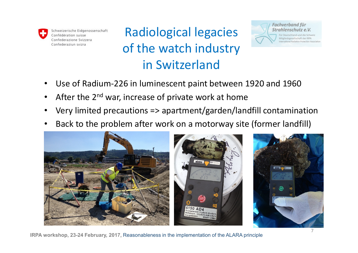

### Radiological legacies of the watch industry in Switzerland



- •Use of Radium-226 in luminescent paint between 1920 and 1960
- •After the 2<sup>nd</sup> war, increase of private work at home
- •Very limited precautions => apartment/garden/landfill contamination
- •Back to the problem after work on a motorway site (former landfill)



**IRPA workshop, 23-24 February, 2017,** Reasonableness in the implementation of the ALARA principle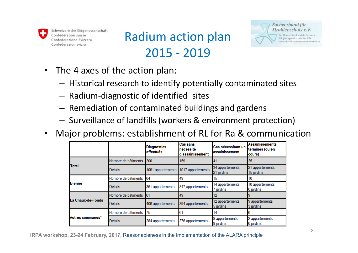

## Radium action plan 2015 - <sup>2019</sup>



- $\bullet$  The 4 axes of the action plan:
	- $-$  Historical research to identify potentially contaminated sites
	- $-$  Radium-diagnostic of identified sites
	- $-$  Remediation of contaminated buildings and gardens
	- $-$  Surveillance of landfills (workers & environment protection)
- •Major problems: establishment of RL for Ra & communication

|                   |                     | <b>Diagnostics</b><br>effectués | Cas sans<br>nécessité<br>d'assainissement | Cas nécessitant un<br>assainissement | <b>Assainissements</b><br>terminés (ou en<br>cours) |
|-------------------|---------------------|---------------------------------|-------------------------------------------|--------------------------------------|-----------------------------------------------------|
| <b>Total</b>      | Nombre de bâtiments | 200                             | 159                                       | 41                                   | 25                                                  |
|                   | <b>Détails</b>      | 1051 appartements               | 1017 appartements                         | 34 appartements<br>21 jardins        | 21 appartements<br>15 jardins                       |
| <b>Bienne</b>     | Nombre de bâtiments | 64                              | 49                                        | 15                                   | 10                                                  |
|                   | <b>Détails</b>      | 361 appartements                | 347 appartements                          | 14 appartements<br>7 jardins         | 10 appartements<br>6 jardins                        |
| La Chaux-de-Fonds | Nombre de bâtiments | 61                              | 49                                        | 12                                   |                                                     |
|                   | <b>Détails</b>      | 406 appartements                | 394 appartements                          | 12 appartements<br>5 jardins         | 9 appartements<br>3 jardins                         |
| Autres communes*  | Nombre de bâtiments | 75                              | 61                                        | 14                                   |                                                     |
|                   | <b>Détails</b>      | 284 appartements                | 276 appartements                          | 8 appartements<br>9 jardins          | 2 appartements<br>6 jardins                         |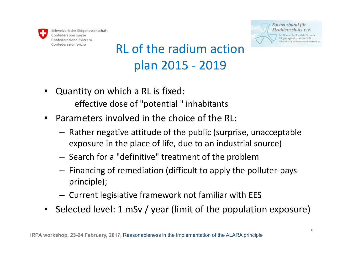



## RL of the radium action plan 2015 - <sup>2019</sup>

- • Quantity on which a RL is fixed: effective dose of "potential " inhabitants
- • Parameters involved in the choice of the RL:
	- Rather negative attitude of the public (surprise, unacceptable exposure in the place of life, due to an industrial source)
	- $-$  Search for a "definitive" treatment of the problem
	- $-$  Financing of remediation (difficult to annly the  $n$  $-$  Financing of remediation (difficult to apply the polluter-pays principle);
	- $-$  Current legislative framework not familiar with EES
- •Selected level: 1 mSv / year (limit of the population exposure)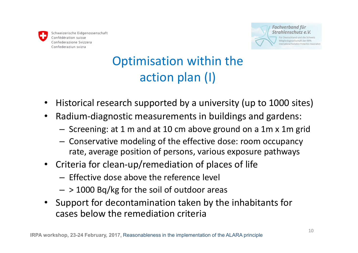

## Optimisation within the action plan (I)

- •Historical research supported by a university (up to 1000 sites)
- $\bullet$  Radium-diagnostic measurements in buildings and gardens:
	- $-$  Screening: at 1 m and at 10 cm above ground on a 1m x 1m grid
	- Conservative modeling of the effective dose: room occupancy rate, average position of persons, various exposure pathways
- Criteria for clean-up/remediation of places of life
	- $-$  Effective dose above the reference level
	- $-$  > 1000 Bq/kg for the soil of outdoor areas
- Support for decontamination taken by the inhabitants for cases below the remediation criteria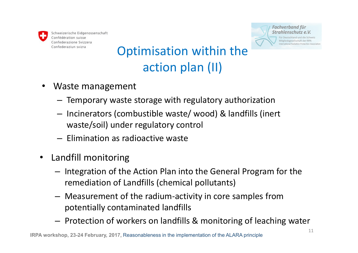

## Optimisation within the action plan (II)

- • Waste management
	- **Links of the Company**  $-$  Temporary waste storage with regulatory authorization
	- **Links of the Company** - Incinerators (combustible waste/ wood) & landfills (inert waste/soil) under regulatory control
	- **Links of the Company**  $-$  Elimination as radioactive waste
- • Landfill monitoring
	- Integration of the Action Plan into the General Program for the remediation of Landfills (chemical pollutants)
	- Measurement of the radium-activity in core samples from potentially contaminated landfills
	- $-$  Protection of workers on landfills & monitoring of leaching water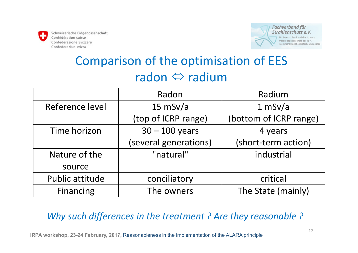

# Comparison of the optimisation of EES nadon ⇔ radium<br>Radon

|                 | Radon                 | Radium                 |  |
|-----------------|-----------------------|------------------------|--|
| Reference level | $15$ mSv/a            | $1 \text{ mSv/a}$      |  |
|                 | (top of ICRP range)   | (bottom of ICRP range) |  |
| Time horizon    | $30 - 100$ years      | 4 years                |  |
|                 | (several generations) | (short-term action)    |  |
| Nature of the   | "natural"             | industrial             |  |
| source          |                       |                        |  |
| Public attitude | conciliatory          | critical               |  |
| Financing       | The owners            | The State (mainly)     |  |

#### *Why such differences in the treatment ? Are they reasonable ?*